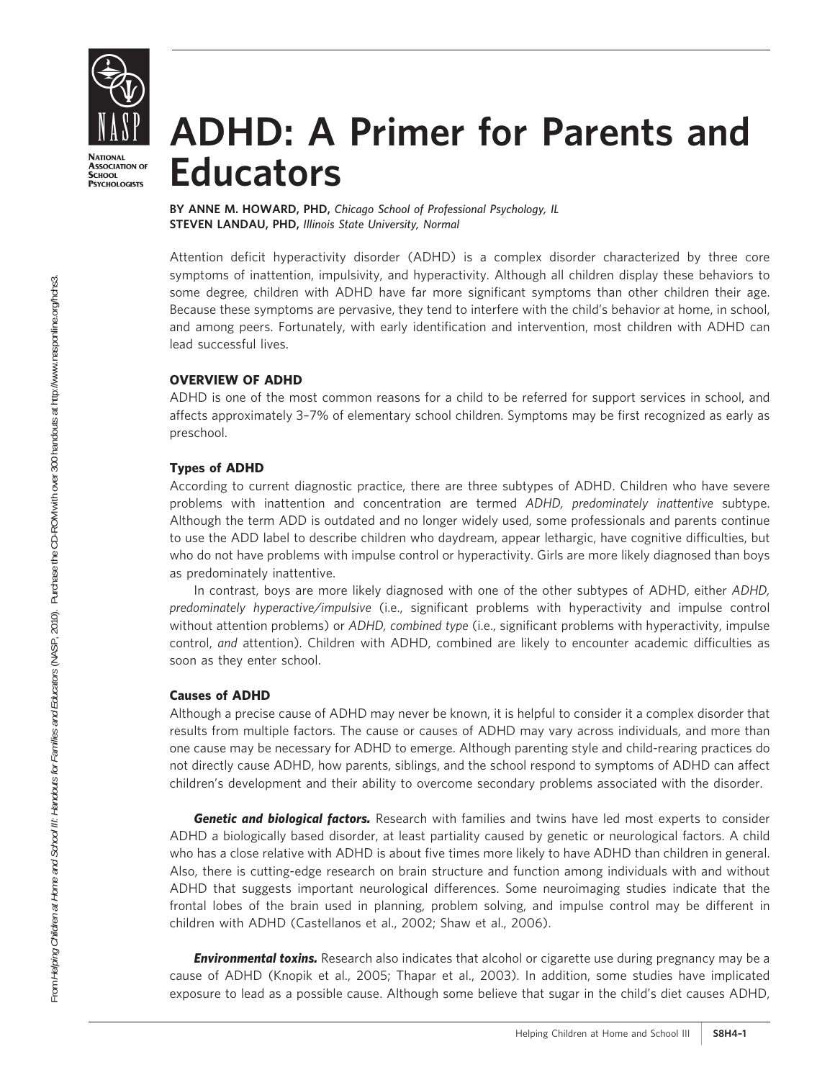

**NATIONAL ASSOCIATION OF SCHOOL PSYCHOLOGISTS** 

# ADHD: A Primer for Parents and **Educators**

BY ANNE M. HOWARD, PHD, Chicago School of Professional Psychology, IL STEVEN LANDAU, PHD, Illinois State University, Normal

Attention deficit hyperactivity disorder (ADHD) is a complex disorder characterized by three core symptoms of inattention, impulsivity, and hyperactivity. Although all children display these behaviors to some degree, children with ADHD have far more significant symptoms than other children their age. Because these symptoms are pervasive, they tend to interfere with the child's behavior at home, in school, and among peers. Fortunately, with early identification and intervention, most children with ADHD can lead successful lives.

# OVERVIEW OF ADHD

ADHD is one of the most common reasons for a child to be referred for support services in school, and affects approximately 3–7% of elementary school children. Symptoms may be first recognized as early as preschool.

# Types of ADHD

According to current diagnostic practice, there are three subtypes of ADHD. Children who have severe problems with inattention and concentration are termed ADHD, predominately inattentive subtype. Although the term ADD is outdated and no longer widely used, some professionals and parents continue to use the ADD label to describe children who daydream, appear lethargic, have cognitive difficulties, but who do not have problems with impulse control or hyperactivity. Girls are more likely diagnosed than boys as predominately inattentive.

In contrast, boys are more likely diagnosed with one of the other subtypes of ADHD, either ADHD, predominately hyperactive/impulsive (i.e., significant problems with hyperactivity and impulse control without attention problems) or ADHD, combined type (i.e., significant problems with hyperactivity, impulse control, and attention). Children with ADHD, combined are likely to encounter academic difficulties as soon as they enter school.

#### Causes of ADHD

Although a precise cause of ADHD may never be known, it is helpful to consider it a complex disorder that results from multiple factors. The cause or causes of ADHD may vary across individuals, and more than one cause may be necessary for ADHD to emerge. Although parenting style and child-rearing practices do not directly cause ADHD, how parents, siblings, and the school respond to symptoms of ADHD can affect children's development and their ability to overcome secondary problems associated with the disorder.

Genetic and biological factors. Research with families and twins have led most experts to consider ADHD a biologically based disorder, at least partiality caused by genetic or neurological factors. A child who has a close relative with ADHD is about five times more likely to have ADHD than children in general. Also, there is cutting-edge research on brain structure and function among individuals with and without ADHD that suggests important neurological differences. Some neuroimaging studies indicate that the frontal lobes of the brain used in planning, problem solving, and impulse control may be different in children with ADHD (Castellanos et al., 2002; Shaw et al., 2006).

**Environmental toxins.** Research also indicates that alcohol or cigarette use during pregnancy may be a cause of ADHD (Knopik et al., 2005; Thapar et al., 2003). In addition, some studies have implicated exposure to lead as a possible cause. Although some believe that sugar in the child's diet causes ADHD,

From Helping Children at Home and School III: Handouts for Families and Educators (NASP, 2010). Purchase the CD-ROM with over 300 handouts at http://www.nasponline.org/hchs3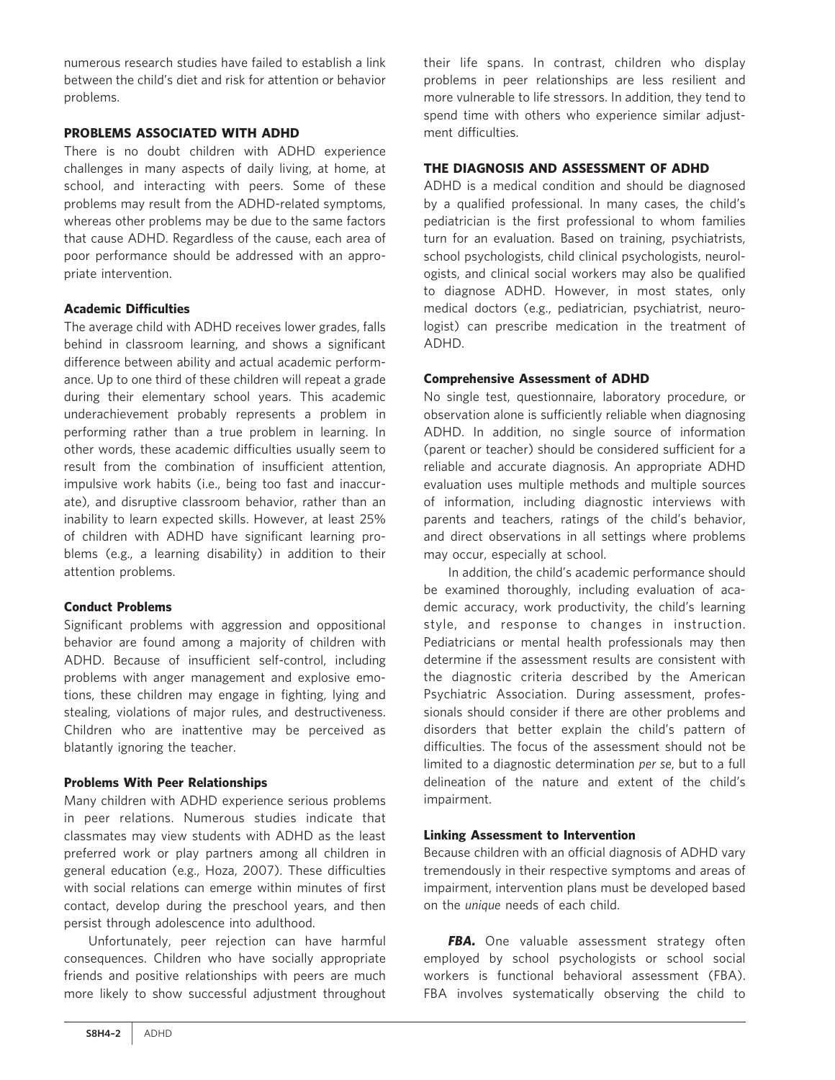numerous research studies have failed to establish a link between the child's diet and risk for attention or behavior problems.

#### PROBLEMS ASSOCIATED WITH ADHD

There is no doubt children with ADHD experience challenges in many aspects of daily living, at home, at school, and interacting with peers. Some of these problems may result from the ADHD-related symptoms, whereas other problems may be due to the same factors that cause ADHD. Regardless of the cause, each area of poor performance should be addressed with an appropriate intervention.

# Academic Difficulties

The average child with ADHD receives lower grades, falls behind in classroom learning, and shows a significant difference between ability and actual academic performance. Up to one third of these children will repeat a grade during their elementary school years. This academic underachievement probably represents a problem in performing rather than a true problem in learning. In other words, these academic difficulties usually seem to result from the combination of insufficient attention, impulsive work habits (i.e., being too fast and inaccurate), and disruptive classroom behavior, rather than an inability to learn expected skills. However, at least 25% of children with ADHD have significant learning problems (e.g., a learning disability) in addition to their attention problems.

# Conduct Problems

Significant problems with aggression and oppositional behavior are found among a majority of children with ADHD. Because of insufficient self-control, including problems with anger management and explosive emotions, these children may engage in fighting, lying and stealing, violations of major rules, and destructiveness. Children who are inattentive may be perceived as blatantly ignoring the teacher.

# Problems With Peer Relationships

Many children with ADHD experience serious problems in peer relations. Numerous studies indicate that classmates may view students with ADHD as the least preferred work or play partners among all children in general education (e.g., Hoza, 2007). These difficulties with social relations can emerge within minutes of first contact, develop during the preschool years, and then persist through adolescence into adulthood.

Unfortunately, peer rejection can have harmful consequences. Children who have socially appropriate friends and positive relationships with peers are much more likely to show successful adjustment throughout

their life spans. In contrast, children who display problems in peer relationships are less resilient and more vulnerable to life stressors. In addition, they tend to spend time with others who experience similar adjustment difficulties.

# THE DIAGNOSIS AND ASSESSMENT OF ADHD

ADHD is a medical condition and should be diagnosed by a qualified professional. In many cases, the child's pediatrician is the first professional to whom families turn for an evaluation. Based on training, psychiatrists, school psychologists, child clinical psychologists, neurologists, and clinical social workers may also be qualified to diagnose ADHD. However, in most states, only medical doctors (e.g., pediatrician, psychiatrist, neurologist) can prescribe medication in the treatment of ADHD.

# Comprehensive Assessment of ADHD

No single test, questionnaire, laboratory procedure, or observation alone is sufficiently reliable when diagnosing ADHD. In addition, no single source of information (parent or teacher) should be considered sufficient for a reliable and accurate diagnosis. An appropriate ADHD evaluation uses multiple methods and multiple sources of information, including diagnostic interviews with parents and teachers, ratings of the child's behavior, and direct observations in all settings where problems may occur, especially at school.

In addition, the child's academic performance should be examined thoroughly, including evaluation of academic accuracy, work productivity, the child's learning style, and response to changes in instruction. Pediatricians or mental health professionals may then determine if the assessment results are consistent with the diagnostic criteria described by the American Psychiatric Association. During assessment, professionals should consider if there are other problems and disorders that better explain the child's pattern of difficulties. The focus of the assessment should not be limited to a diagnostic determination per se, but to a full delineation of the nature and extent of the child's impairment.

#### Linking Assessment to Intervention

Because children with an official diagnosis of ADHD vary tremendously in their respective symptoms and areas of impairment, intervention plans must be developed based on the unique needs of each child.

FBA. One valuable assessment strategy often employed by school psychologists or school social workers is functional behavioral assessment (FBA). FBA involves systematically observing the child to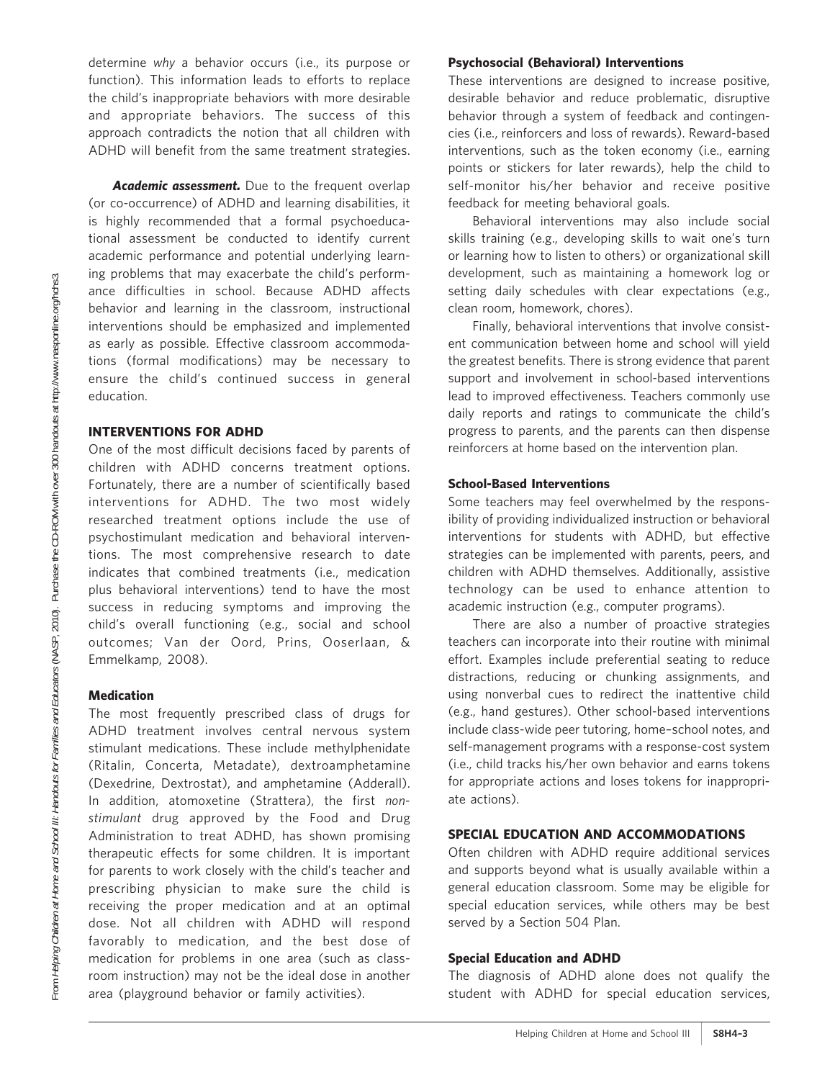determine why a behavior occurs (i.e., its purpose or function). This information leads to efforts to replace the child's inappropriate behaviors with more desirable and appropriate behaviors. The success of this approach contradicts the notion that all children with ADHD will benefit from the same treatment strategies.

Academic assessment. Due to the frequent overlap (or co-occurrence) of ADHD and learning disabilities, it is highly recommended that a formal psychoeducational assessment be conducted to identify current academic performance and potential underlying learning problems that may exacerbate the child's performance difficulties in school. Because ADHD affects behavior and learning in the classroom, instructional interventions should be emphasized and implemented as early as possible. Effective classroom accommodations (formal modifications) may be necessary to ensure the child's continued success in general education.

# INTERVENTIONS FOR ADHD

One of the most difficult decisions faced by parents of children with ADHD concerns treatment options. Fortunately, there are a number of scientifically based interventions for ADHD. The two most widely researched treatment options include the use of psychostimulant medication and behavioral interventions. The most comprehensive research to date indicates that combined treatments (i.e., medication plus behavioral interventions) tend to have the most success in reducing symptoms and improving the child's overall functioning (e.g., social and school outcomes; Van der Oord, Prins, Ooserlaan, & Emmelkamp, 2008).

#### **Medication**

The most frequently prescribed class of drugs for ADHD treatment involves central nervous system stimulant medications. These include methylphenidate (Ritalin, Concerta, Metadate), dextroamphetamine (Dexedrine, Dextrostat), and amphetamine (Adderall). In addition, atomoxetine (Strattera), the first nonstimulant drug approved by the Food and Drug Administration to treat ADHD, has shown promising therapeutic effects for some children. It is important for parents to work closely with the child's teacher and prescribing physician to make sure the child is receiving the proper medication and at an optimal dose. Not all children with ADHD will respond favorably to medication, and the best dose of medication for problems in one area (such as classroom instruction) may not be the ideal dose in another area (playground behavior or family activities).

#### Psychosocial (Behavioral) Interventions

These interventions are designed to increase positive, desirable behavior and reduce problematic, disruptive behavior through a system of feedback and contingencies (i.e., reinforcers and loss of rewards). Reward-based interventions, such as the token economy (i.e., earning points or stickers for later rewards), help the child to self-monitor his/her behavior and receive positive feedback for meeting behavioral goals.

Behavioral interventions may also include social skills training (e.g., developing skills to wait one's turn or learning how to listen to others) or organizational skill development, such as maintaining a homework log or setting daily schedules with clear expectations (e.g., clean room, homework, chores).

Finally, behavioral interventions that involve consistent communication between home and school will yield the greatest benefits. There is strong evidence that parent support and involvement in school-based interventions lead to improved effectiveness. Teachers commonly use daily reports and ratings to communicate the child's progress to parents, and the parents can then dispense reinforcers at home based on the intervention plan.

#### School-Based Interventions

Some teachers may feel overwhelmed by the responsibility of providing individualized instruction or behavioral interventions for students with ADHD, but effective strategies can be implemented with parents, peers, and children with ADHD themselves. Additionally, assistive technology can be used to enhance attention to academic instruction (e.g., computer programs).

There are also a number of proactive strategies teachers can incorporate into their routine with minimal effort. Examples include preferential seating to reduce distractions, reducing or chunking assignments, and using nonverbal cues to redirect the inattentive child (e.g., hand gestures). Other school-based interventions include class-wide peer tutoring, home–school notes, and self-management programs with a response-cost system (i.e., child tracks his/her own behavior and earns tokens for appropriate actions and loses tokens for inappropriate actions).

#### SPECIAL EDUCATION AND ACCOMMODATIONS

Often children with ADHD require additional services and supports beyond what is usually available within a general education classroom. Some may be eligible for special education services, while others may be best served by a Section 504 Plan.

#### Special Education and ADHD

The diagnosis of ADHD alone does not qualify the student with ADHD for special education services,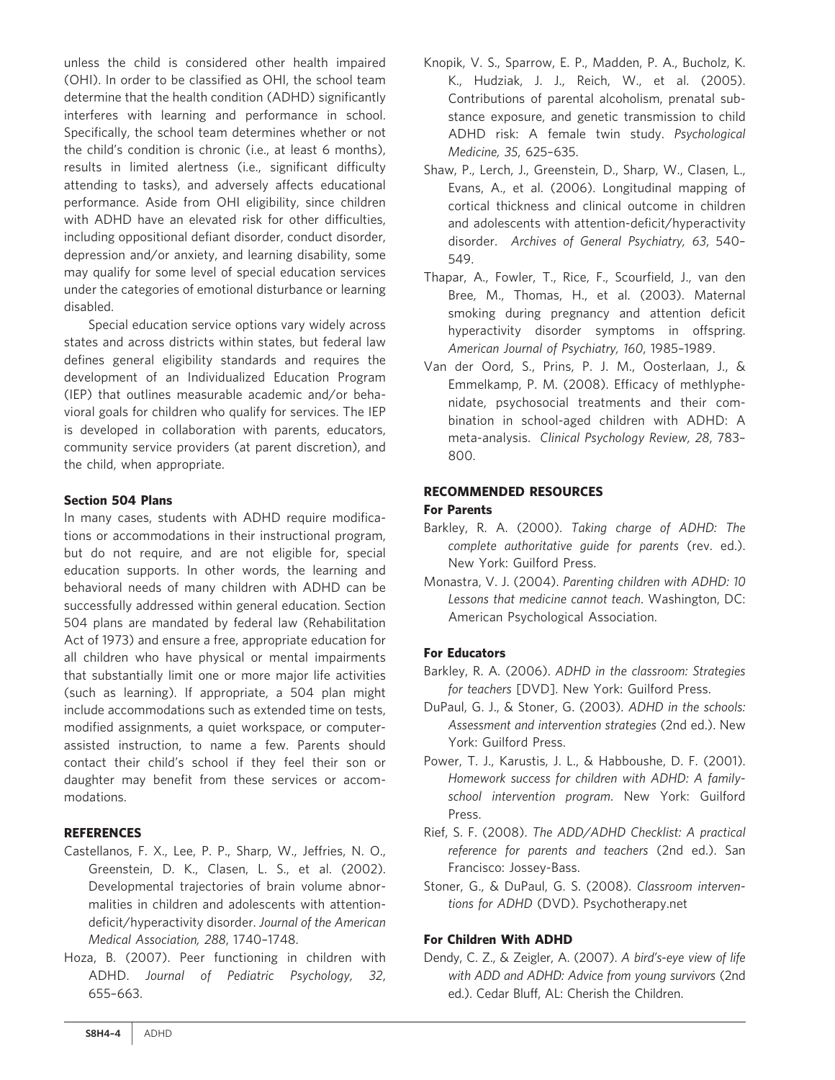unless the child is considered other health impaired (OHI). In order to be classified as OHI, the school team determine that the health condition (ADHD) significantly interferes with learning and performance in school. Specifically, the school team determines whether or not the child's condition is chronic (i.e., at least 6 months), results in limited alertness (i.e., significant difficulty attending to tasks), and adversely affects educational performance. Aside from OHI eligibility, since children with ADHD have an elevated risk for other difficulties, including oppositional defiant disorder, conduct disorder, depression and/or anxiety, and learning disability, some may qualify for some level of special education services under the categories of emotional disturbance or learning disabled.

Special education service options vary widely across states and across districts within states, but federal law defines general eligibility standards and requires the development of an Individualized Education Program (IEP) that outlines measurable academic and/or behavioral goals for children who qualify for services. The IEP is developed in collaboration with parents, educators, community service providers (at parent discretion), and the child, when appropriate.

# Section 504 Plans

In many cases, students with ADHD require modifications or accommodations in their instructional program, but do not require, and are not eligible for, special education supports. In other words, the learning and behavioral needs of many children with ADHD can be successfully addressed within general education. Section 504 plans are mandated by federal law (Rehabilitation Act of 1973) and ensure a free, appropriate education for all children who have physical or mental impairments that substantially limit one or more major life activities (such as learning). If appropriate, a 504 plan might include accommodations such as extended time on tests, modified assignments, a quiet workspace, or computerassisted instruction, to name a few. Parents should contact their child's school if they feel their son or daughter may benefit from these services or accommodations.

# **REFERENCES**

- Castellanos, F. X., Lee, P. P., Sharp, W., Jeffries, N. O., Greenstein, D. K., Clasen, L. S., et al. (2002). Developmental trajectories of brain volume abnormalities in children and adolescents with attentiondeficit/hyperactivity disorder. Journal of the American Medical Association, 288, 1740–1748.
- Hoza, B. (2007). Peer functioning in children with ADHD. Journal of Pediatric Psychology, 32, 655–663.
- Knopik, V. S., Sparrow, E. P., Madden, P. A., Bucholz, K. K., Hudziak, J. J., Reich, W., et al. (2005). Contributions of parental alcoholism, prenatal substance exposure, and genetic transmission to child ADHD risk: A female twin study. Psychological Medicine, 35, 625–635.
- Shaw, P., Lerch, J., Greenstein, D., Sharp, W., Clasen, L., Evans, A., et al. (2006). Longitudinal mapping of cortical thickness and clinical outcome in children and adolescents with attention-deficit/hyperactivity disorder. Archives of General Psychiatry, 63, 540– 549.
- Thapar, A., Fowler, T., Rice, F., Scourfield, J., van den Bree, M., Thomas, H., et al. (2003). Maternal smoking during pregnancy and attention deficit hyperactivity disorder symptoms in offspring. American Journal of Psychiatry, 160, 1985–1989.
- Van der Oord, S., Prins, P. J. M., Oosterlaan, J., & Emmelkamp, P. M. (2008). Efficacy of methlyphenidate, psychosocial treatments and their combination in school-aged children with ADHD: A meta-analysis. Clinical Psychology Review, 28, 783– 800.

# RECOMMENDED RESOURCES

# For Parents

- Barkley, R. A. (2000). Taking charge of ADHD: The complete authoritative guide for parents (rev. ed.). New York: Guilford Press.
- Monastra, V. J. (2004). Parenting children with ADHD: 10 Lessons that medicine cannot teach. Washington, DC: American Psychological Association.

# For Educators

- Barkley, R. A. (2006). ADHD in the classroom: Strategies for teachers [DVD]. New York: Guilford Press.
- DuPaul, G. J., & Stoner, G. (2003). ADHD in the schools: Assessment and intervention strategies (2nd ed.). New York: Guilford Press.
- Power, T. J., Karustis, J. L., & Habboushe, D. F. (2001). Homework success for children with ADHD: A familyschool intervention program. New York: Guilford Press.
- Rief, S. F. (2008). The ADD/ADHD Checklist: A practical reference for parents and teachers (2nd ed.). San Francisco: Jossey-Bass.
- Stoner, G., & DuPaul, G. S. (2008). Classroom interventions for ADHD (DVD). Psychotherapy.net

# For Children With ADHD

Dendy, C. Z., & Zeigler, A. (2007). A bird's-eye view of life with ADD and ADHD: Advice from young survivors (2nd ed.). Cedar Bluff, AL: Cherish the Children.